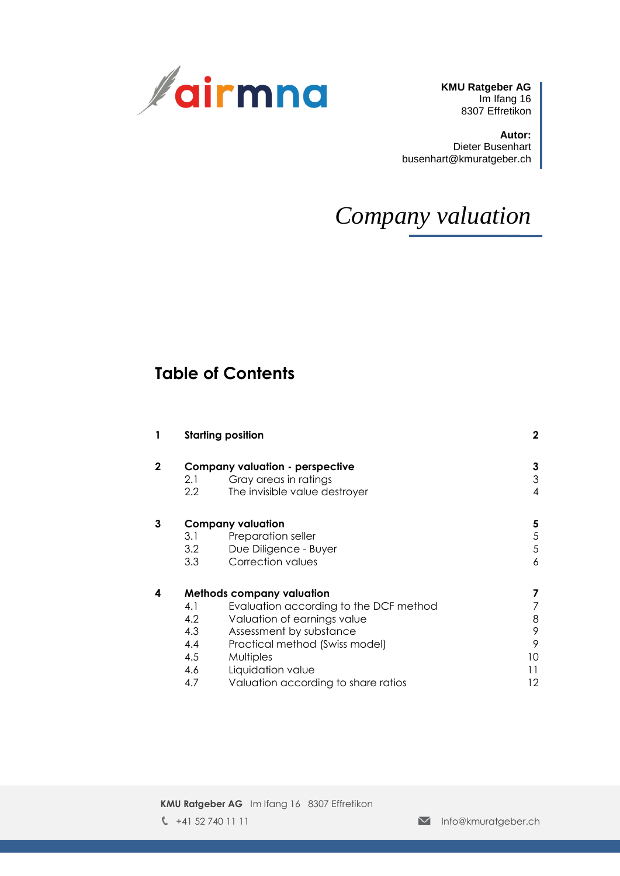

**KMU Ratgeber AG** Im Ifang 16 8307 Effretikon

**Autor:** Dieter Busenhart busenhart@kmuratgeber.ch

# *Company valuation*

## **Table of Contents**

|              |     | <b>Starting position</b>               | $\mathbf{2}$ |
|--------------|-----|----------------------------------------|--------------|
| $\mathbf{2}$ |     | <b>Company valuation - perspective</b> | 3            |
|              | 2.1 | Gray areas in ratings                  | 3            |
|              | 2.2 | The invisible value destroyer          | 4            |
| 3            |     | <b>Company valuation</b>               | 5            |
|              | 3.1 | Preparation seller                     | 5            |
|              | 3.2 | Due Diligence - Buyer                  | 5            |
|              | 3.3 | Correction values                      | 6            |
| 4            |     | <b>Methods company valuation</b>       | 7            |
|              | 4.1 | Evaluation according to the DCF method |              |
|              | 4.2 | Valuation of earnings value            | 8            |
|              | 4.3 | Assessment by substance                | 9            |
|              | 4.4 | Practical method (Swiss model)         | 9            |
|              | 4.5 | Multiples                              | 10           |
|              | 4.6 | Liquidation value                      | 11           |
|              | 4.7 | Valuation according to share ratios    | 12           |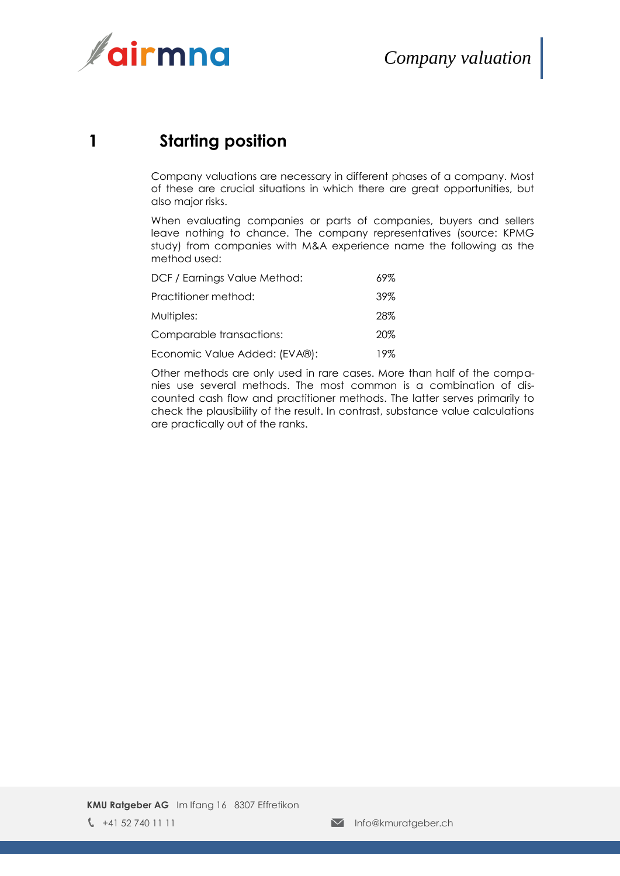

## **1 Starting position**

<span id="page-1-0"></span>Company valuations are necessary in different phases of a company. Most of these are crucial situations in which there are great opportunities, but also major risks.

When evaluating companies or parts of companies, buyers and sellers leave nothing to chance. The company representatives (source: KPMG study) from companies with M&A experience name the following as the method used:

| DCF / Earnings Value Method:  | 69%    |
|-------------------------------|--------|
| Practitioner method:          | $39\%$ |
| Multiples:                    | 28%    |
| Comparable transactions:      | 20%    |
| Economic Value Added: (EVA®): | 19%    |

Other methods are only used in rare cases. More than half of the companies use several methods. The most common is a combination of discounted cash flow and practitioner methods. The latter serves primarily to check the plausibility of the result. In contrast, substance value calculations are practically out of the ranks.

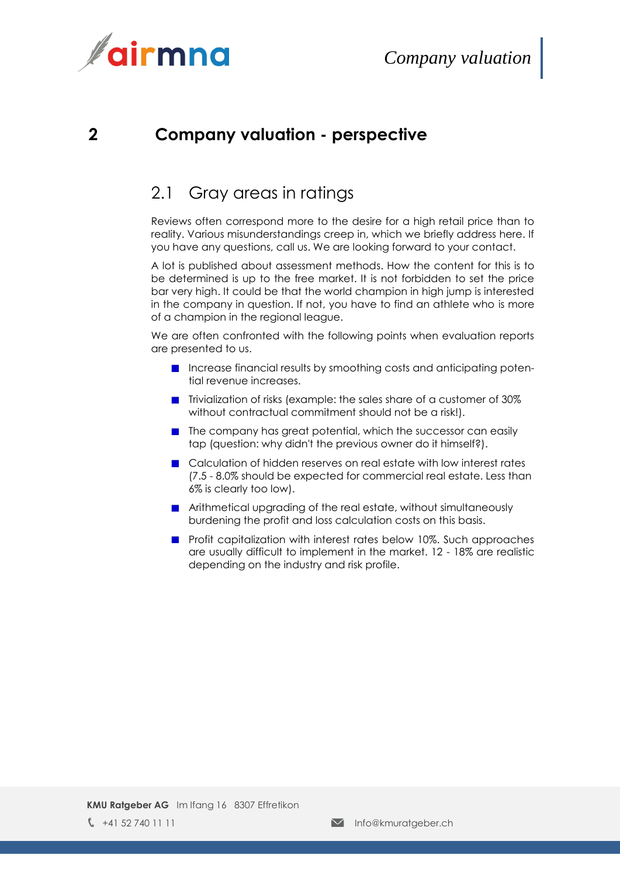

### <span id="page-2-0"></span>**2 Company valuation - perspective**

#### <span id="page-2-1"></span>2.1 Gray areas in ratings

Reviews often correspond more to the desire for a high retail price than to reality. Various misunderstandings creep in, which we briefly address here. If you have any questions, call us. We are looking forward to your contact.

A lot is published about assessment methods. How the content for this is to be determined is up to the free market. It is not forbidden to set the price bar very high. It could be that the world champion in high jump is interested in the company in question. If not, you have to find an athlete who is more of a champion in the regional league.

We are often confronted with the following points when evaluation reports are presented to us.

- **Increase financial results by smoothing costs and anticipating poten**tial revenue increases.
- Trivialization of risks (example: the sales share of a customer of 30% without contractual commitment should not be a risk!).
- $\blacksquare$  The company has great potential, which the successor can easily tap (question: why didn't the previous owner do it himself?).
- Calculation of hidden reserves on real estate with low interest rates (7.5 - 8.0% should be expected for commercial real estate. Less than 6% is clearly too low).
- **E** Arithmetical upgrading of the real estate, without simultaneously burdening the profit and loss calculation costs on this basis.
- **Profit capitalization with interest rates below 10%. Such approaches** are usually difficult to implement in the market. 12 - 18% are realistic depending on the industry and risk profile.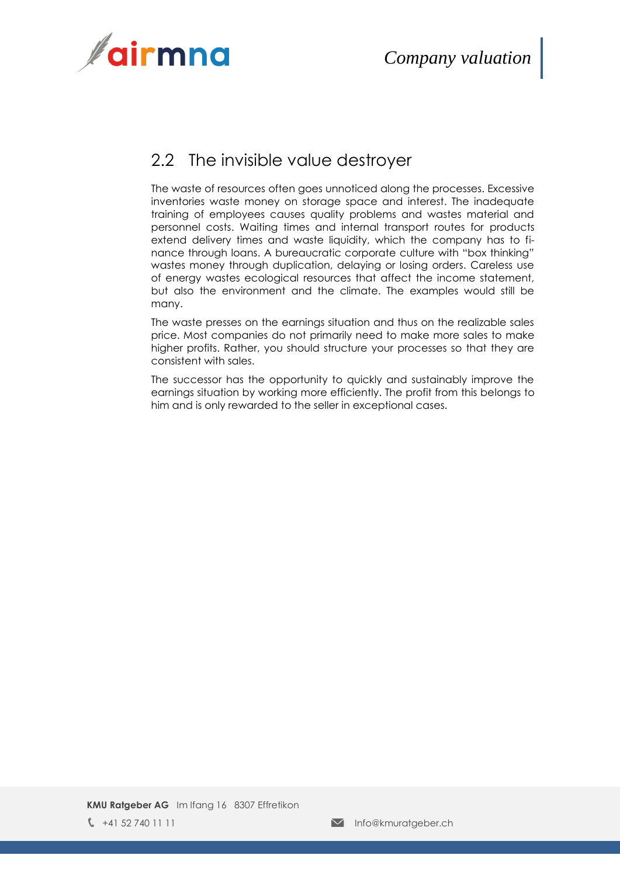

## <span id="page-3-0"></span>2.2 The invisible value destroyer

The waste of resources often goes unnoticed along the processes. Excessive inventories waste money on storage space and interest. The inadequate training of employees causes quality problems and wastes material and personnel costs. Waiting times and internal transport routes for products extend delivery times and waste liquidity, which the company has to finance through loans. A bureaucratic corporate culture with "box thinking" wastes money through duplication, delaying or losing orders. Careless use of energy wastes ecological resources that affect the income statement, but also the environment and the climate. The examples would still be many.

The waste presses on the earnings situation and thus on the realizable sales price. Most companies do not primarily need to make more sales to make higher profits. Rather, you should structure your processes so that they are consistent with sales.

The successor has the opportunity to quickly and sustainably improve the earnings situation by working more efficiently. The profit from this belongs to him and is only rewarded to the seller in exceptional cases.

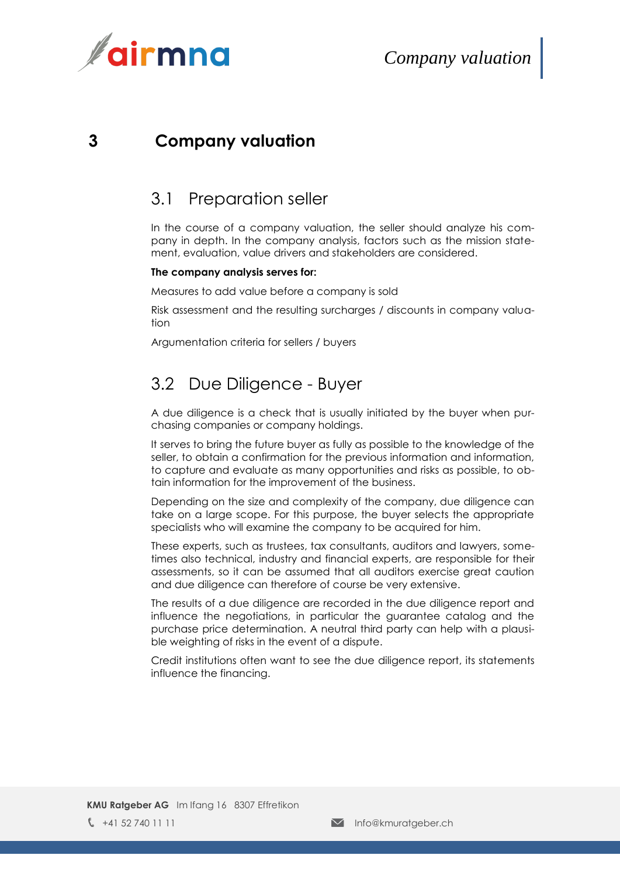

#### <span id="page-4-0"></span>**3 Company valuation**

#### <span id="page-4-1"></span>3.1 Preparation seller

In the course of a company valuation, the seller should analyze his company in depth. In the company analysis, factors such as the mission statement, evaluation, value drivers and stakeholders are considered.

#### **The company analysis serves for:**

Measures to add value before a company is sold

Risk assessment and the resulting surcharges / discounts in company valuation

<span id="page-4-2"></span>Argumentation criteria for sellers / buyers

### 3.2 Due Diligence - Buyer

A due diligence is a check that is usually initiated by the buyer when purchasing companies or company holdings.

It serves to bring the future buyer as fully as possible to the knowledge of the seller, to obtain a confirmation for the previous information and information, to capture and evaluate as many opportunities and risks as possible, to obtain information for the improvement of the business.

Depending on the size and complexity of the company, due diligence can take on a large scope. For this purpose, the buyer selects the appropriate specialists who will examine the company to be acquired for him.

These experts, such as trustees, tax consultants, auditors and lawyers, sometimes also technical, industry and financial experts, are responsible for their assessments, so it can be assumed that all auditors exercise great caution and due diligence can therefore of course be very extensive.

The results of a due diligence are recorded in the due diligence report and influence the negotiations, in particular the guarantee catalog and the purchase price determination. A neutral third party can help with a plausible weighting of risks in the event of a dispute.

Credit institutions often want to see the due diligence report, its statements influence the financing.

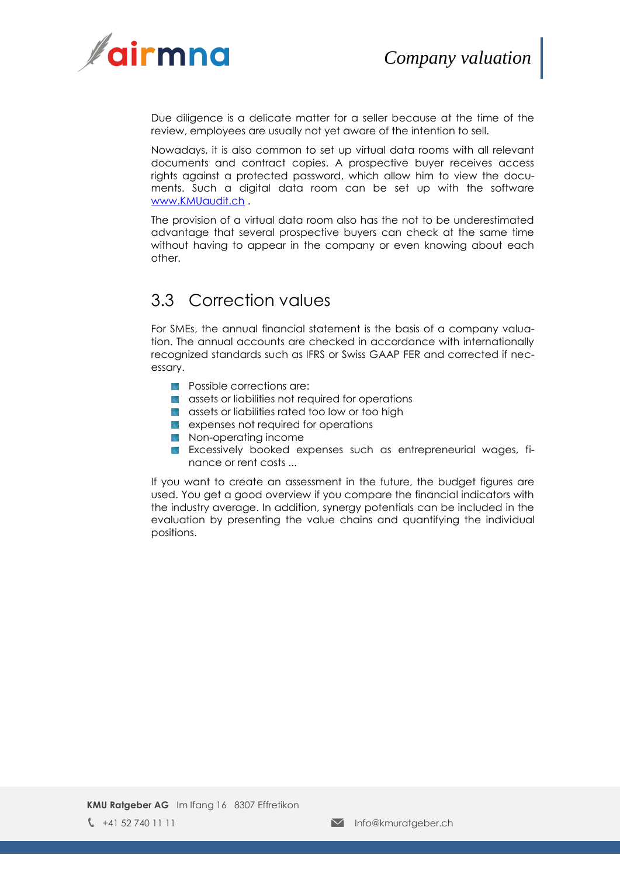

Due diligence is a delicate matter for a seller because at the time of the review, employees are usually not yet aware of the intention to sell.

Nowadays, it is also common to set up virtual data rooms with all relevant documents and contract copies. A prospective buyer receives access rights against a protected password, which allow him to view the documents. Such a digital data room can be set up with the software [www.KMUaudit.ch](http://www.kmuaudit.ch/) .

The provision of a virtual data room also has the not to be underestimated advantage that several prospective buyers can check at the same time without having to appear in the company or even knowing about each other.

### <span id="page-5-0"></span>3.3 Correction values

For SMEs, the annual financial statement is the basis of a company valuation. The annual accounts are checked in accordance with internationally recognized standards such as IFRS or Swiss GAAP FER and corrected if necessary.

- **Possible corrections are:**
- **a** assets or liabilities not required for operations
- **a** assets or liabilities rated too low or too high
- **Expenses not required for operations**
- **Non-operating income**
- **Excessively booked expenses such as entrepreneurial wages, fi**nance or rent costs ...

If you want to create an assessment in the future, the budget figures are used. You get a good overview if you compare the financial indicators with the industry average. In addition, synergy potentials can be included in the evaluation by presenting the value chains and quantifying the individual positions.

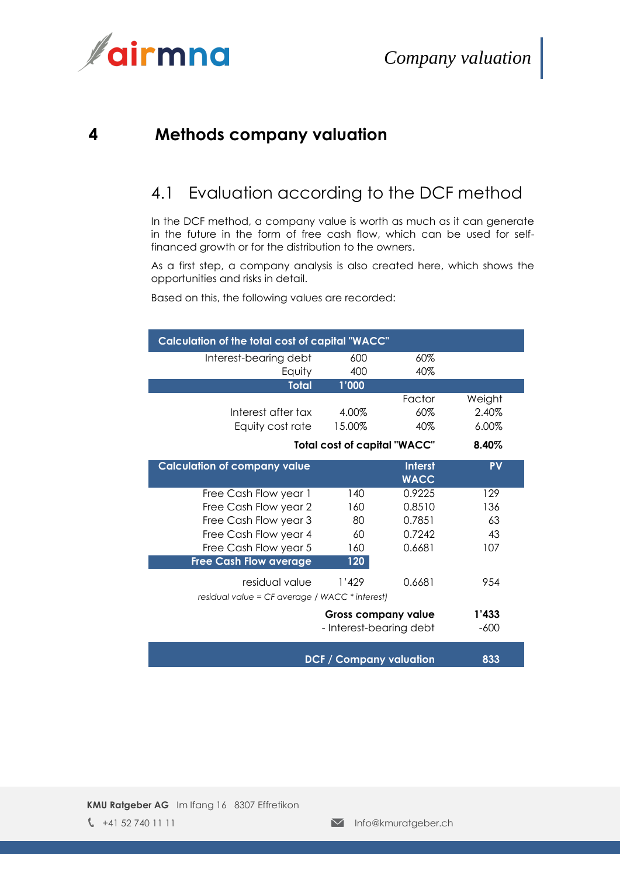



#### <span id="page-6-0"></span>**4 Methods company valuation**

### <span id="page-6-1"></span>4.1 Evaluation according to the DCF method

In the DCF method, a company value is worth as much as it can generate in the future in the form of free cash flow, which can be used for selffinanced growth or for the distribution to the owners.

As a first step, a company analysis is also created here, which shows the opportunities and risks in detail.

Based on this, the following values are recorded:

| Calculation of the total cost of capital "WACC" |                                     |                |           |  |
|-------------------------------------------------|-------------------------------------|----------------|-----------|--|
| Interest-bearing debt                           | 600                                 | 60%            |           |  |
| Equity                                          | 400                                 | 40%            |           |  |
| <b>Total</b>                                    | 1'000                               |                |           |  |
|                                                 |                                     | Factor         | Weight    |  |
| Interest after tax                              | 4.00%                               | 60%            | 2.40%     |  |
| Equity cost rate                                | 15.00%                              | 40%            | 6.00%     |  |
|                                                 | <b>Total cost of capital "WACC"</b> |                | 8.40%     |  |
| <b>Calculation of company value</b>             |                                     | <b>Interst</b> | <b>PV</b> |  |
|                                                 |                                     | <b>WACC</b>    |           |  |
| Free Cash Flow year 1                           | 140                                 | 0.9225         | 129       |  |
| Free Cash Flow year 2                           | 160                                 | 0.8510         | 136       |  |
| Free Cash Flow year 3                           | 80                                  | 0.7851         | 63        |  |
| Free Cash Flow year 4                           | 60                                  | 0.7242         | 43        |  |
| Free Cash Flow year 5                           | 160                                 | 0.6681         | 107       |  |
| <b>Free Cash Flow average</b>                   | 120                                 |                |           |  |
| residual value                                  | 1'429                               | 0.6681         | 954       |  |
| residual value = CF average / WACC * interest)  |                                     |                |           |  |
| <b>Gross company value</b>                      |                                     |                | 1'433     |  |
|                                                 | - Interest-bearing debt             |                | $-600$    |  |
|                                                 | <b>DCF / Company valuation</b>      |                | 833       |  |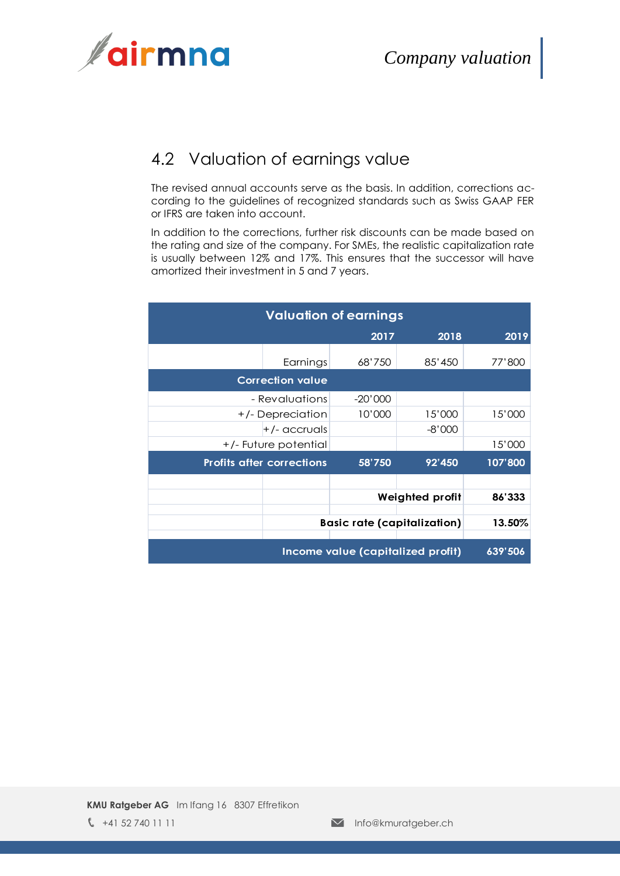

## <span id="page-7-0"></span>4.2 Valuation of earnings value

The revised annual accounts serve as the basis. In addition, corrections according to the guidelines of recognized standards such as Swiss GAAP FER or IFRS are taken into account.

In addition to the corrections, further risk discounts can be made based on the rating and size of the company. For SMEs, the realistic capitalization rate is usually between 12% and 17%. This ensures that the successor will have amortized their investment in 5 and 7 years.

| <b>Valuation of earnings</b>      |                         |                                    |                        |         |
|-----------------------------------|-------------------------|------------------------------------|------------------------|---------|
|                                   |                         | 2017                               | 2018                   | 2019    |
|                                   | Earnings                | 68'750                             | 85'450                 | 77'800  |
|                                   | <b>Correction value</b> |                                    |                        |         |
|                                   | - Revaluations          | $-20'000$                          |                        |         |
|                                   | +/- Depreciation        | 10'000                             | 15'000                 | 15'000  |
|                                   | $+/-$ accruals          |                                    | $-8'000$               |         |
|                                   | +/- Future potential    |                                    |                        | 15'000  |
| <b>Profits after corrections</b>  |                         | 58'750                             | 92'450                 | 107'800 |
|                                   |                         |                                    |                        |         |
|                                   |                         |                                    | <b>Weighted profit</b> | 86'333  |
|                                   |                         | <b>Basic rate (capitalization)</b> |                        | 13.50%  |
| Income value (capitalized profit) |                         |                                    |                        | 639'506 |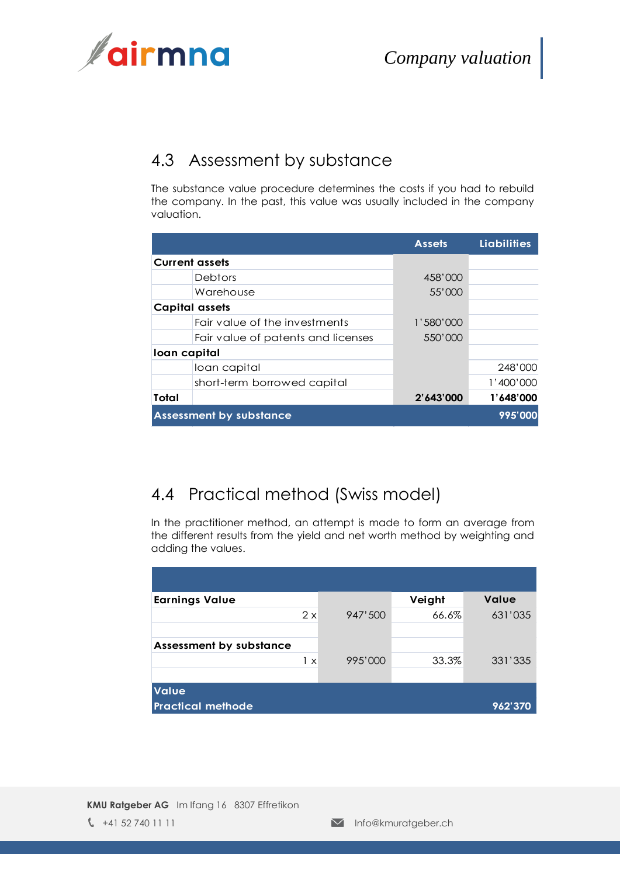

## <span id="page-8-0"></span>4.3 Assessment by substance

The substance value procedure determines the costs if you had to rebuild the company. In the past, this value was usually included in the company valuation.

|              |                                    | <b>Assets</b> | <b>Liabilities</b> |
|--------------|------------------------------------|---------------|--------------------|
|              | <b>Current assets</b>              |               |                    |
|              | <b>Debtors</b>                     | 458'000       |                    |
|              | Warehouse                          | 55'000        |                    |
|              | <b>Capital assets</b>              |               |                    |
|              | Fair value of the investments      | 1'580'000     |                    |
|              | Fair value of patents and licenses | 550'000       |                    |
| Ioan capital |                                    |               |                    |
|              | loan capital                       |               | 248'000            |
|              | short-term borrowed capital        |               | 1'400'000          |
| Total        |                                    | 2'643'000     | 1'648'000          |
|              | <b>Assessment by substance</b>     |               | 995'000            |

## <span id="page-8-1"></span>4.4 Practical method (Swiss model)

In the practitioner method, an attempt is made to form an average from the different results from the yield and net worth method by weighting and adding the values.

| <b>Earnings Value</b>          |         | Veight | <b>Value</b> |
|--------------------------------|---------|--------|--------------|
| $2 \times$                     | 947'500 | 66.6%  | 631'035      |
| <b>Assessment by substance</b> |         |        |              |
| 1 x                            | 995'000 | 33.3%  | 331'335      |
| <b>Value</b>                   |         |        |              |
| <b>Practical methode</b>       |         |        | 962'370      |

**KMU Ratgeber AG** Im Ifang 16 8307 Effretikon  $\sqrt{\phantom{a}}$  +41 52 740 11 11  $\sqrt{\phantom{a}}$  Info@kmuratgeber.ch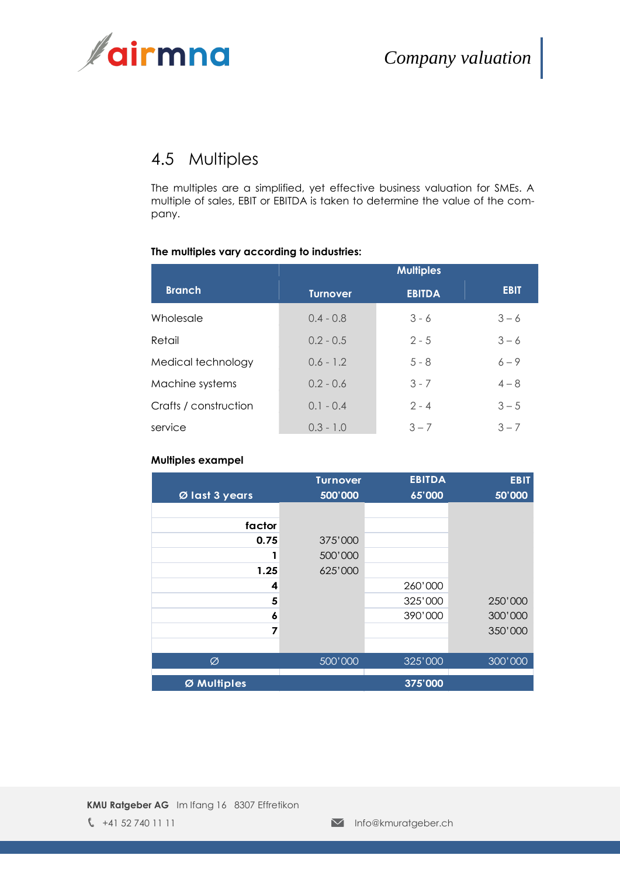

## <span id="page-9-0"></span>4.5 Multiples

The multiples are a simplified, yet effective business valuation for SMEs. A multiple of sales, EBIT or EBITDA is taken to determine the value of the company.

#### **The multiples vary according to industries:**

|                       |                 | <b>Multiples</b> |             |
|-----------------------|-----------------|------------------|-------------|
| <b>Branch</b>         | <b>Turnover</b> | <b>EBITDA</b>    | <b>EBIT</b> |
| Wholesale             | $0.4 - 0.8$     | $3 - 6$          | $3 - 6$     |
| Retail                | $0.2 - 0.5$     | $2 - 5$          | $3 - 6$     |
| Medical technology    | $0.6 - 1.2$     | $5 - 8$          | $6 - 9$     |
| Machine systems       | $0.2 - 0.6$     | $3 - 7$          | $4 - 8$     |
| Crafts / construction | $0.1 - 0.4$     | $2 - 4$          | $3 - 5$     |
| service               | $0.3 - 1.0$     | $3 - 7$          | $3 - 7$     |

#### **Multiples exampel**

|                | <b>Turnover</b> | <b>EBITDA</b> | <b>EBIT</b> |
|----------------|-----------------|---------------|-------------|
| Ø last 3 years | 500'000         | 65'000        | 50'000      |
|                |                 |               |             |
| factor         |                 |               |             |
| 0.75           | 375'000         |               |             |
|                | 500'000         |               |             |
| 1.25           | 625'000         |               |             |
| 4              |                 | 260'000       |             |
| 5              |                 | 325'000       | 250'000     |
| 6              |                 | 390'000       | 300'000     |
| 7              |                 |               | 350'000     |
|                |                 |               |             |
| Ø              | 500'000         | 325'000       | 300'000     |
| Ø Multiples    |                 | 375'000       |             |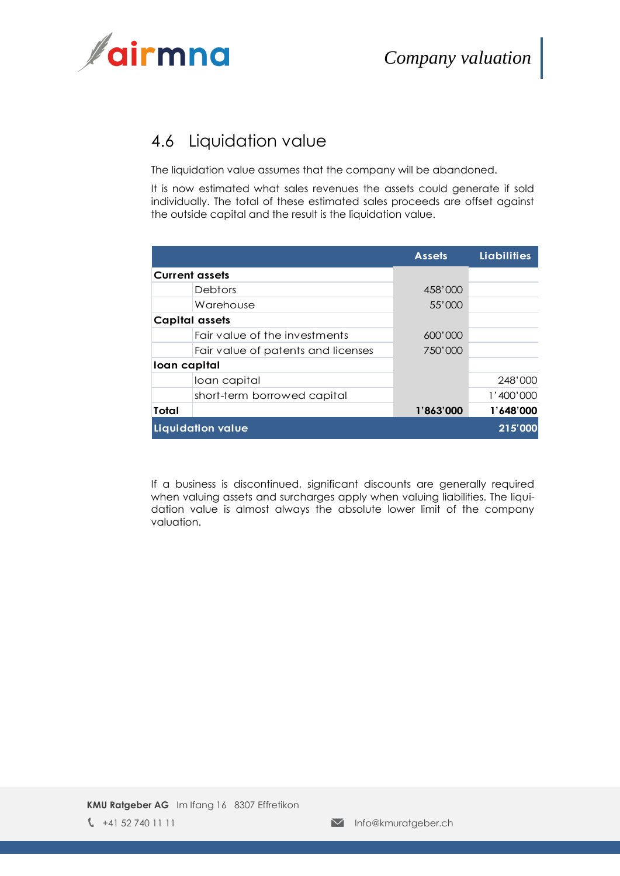

## <span id="page-10-0"></span>4.6 Liquidation value

The liquidation value assumes that the company will be abandoned.

It is now estimated what sales revenues the assets could generate if sold individually. The total of these estimated sales proceeds are offset against the outside capital and the result is the liquidation value.

|                   |                                    | <b>Assets</b> | <b>Liabilities</b> |
|-------------------|------------------------------------|---------------|--------------------|
|                   | <b>Current assets</b>              |               |                    |
|                   | Debtors                            | 458'000       |                    |
|                   | Warehouse                          | 55'000        |                    |
|                   | Capital assets                     |               |                    |
|                   | Fair value of the investments      | 600'000       |                    |
|                   | Fair value of patents and licenses | 750'000       |                    |
| loan capital      |                                    |               |                    |
|                   | loan capital                       |               | 248'000            |
|                   | short-term borrowed capital        |               | 1'400'000          |
| Total             |                                    | 1'863'000     | 1'648'000          |
| Liquidation value |                                    |               | 215'000            |

If a business is discontinued, significant discounts are generally required when valuing assets and surcharges apply when valuing liabilities. The liquidation value is almost always the absolute lower limit of the company valuation.

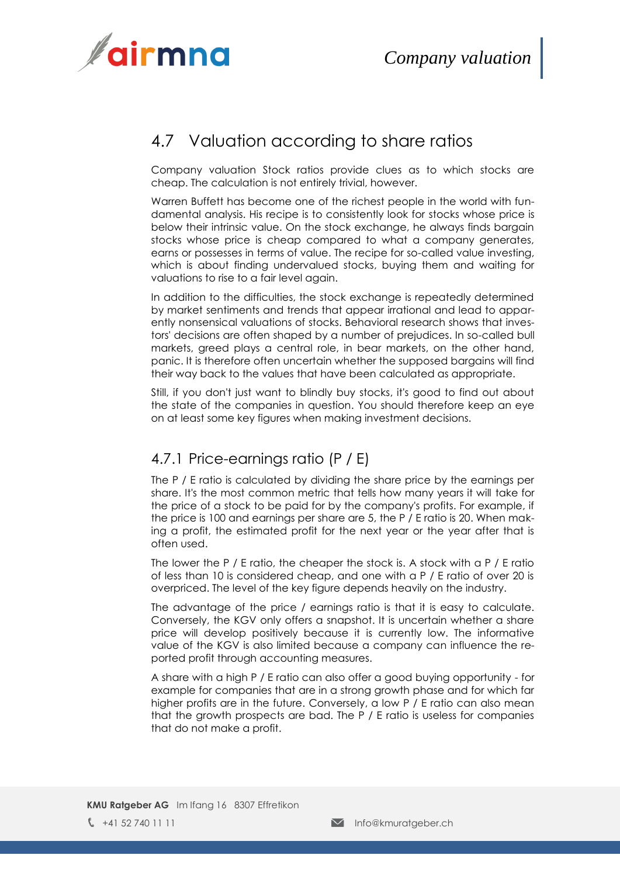

### <span id="page-11-0"></span>4.7 Valuation according to share ratios

Company valuation Stock ratios provide clues as to which stocks are cheap. The calculation is not entirely trivial, however.

Warren Buffett has become one of the richest people in the world with fundamental analysis. His recipe is to consistently look for stocks whose price is below their intrinsic value. On the stock exchange, he always finds bargain stocks whose price is cheap compared to what a company generates, earns or possesses in terms of value. The recipe for so-called value investing, which is about finding undervalued stocks, buying them and waiting for valuations to rise to a fair level again.

In addition to the difficulties, the stock exchange is repeatedly determined by market sentiments and trends that appear irrational and lead to apparently nonsensical valuations of stocks. Behavioral research shows that investors' decisions are often shaped by a number of prejudices. In so-called bull markets, greed plays a central role, in bear markets, on the other hand, panic. It is therefore often uncertain whether the supposed bargains will find their way back to the values that have been calculated as appropriate.

Still, if you don't just want to blindly buy stocks, it's good to find out about the state of the companies in question. You should therefore keep an eye on at least some key figures when making investment decisions.

#### 4.7.1 Price-earnings ratio (P / E)

The P / E ratio is calculated by dividing the share price by the earnings per share. It's the most common metric that tells how many years it will take for the price of a stock to be paid for by the company's profits. For example, if the price is 100 and earnings per share are 5, the P / E ratio is 20. When making a profit, the estimated profit for the next year or the year after that is often used.

The lower the P  $/$  E ratio, the cheaper the stock is. A stock with a P  $/$  E ratio of less than 10 is considered cheap, and one with a P / E ratio of over 20 is overpriced. The level of the key figure depends heavily on the industry.

The advantage of the price / earnings ratio is that it is easy to calculate. Conversely, the KGV only offers a snapshot. It is uncertain whether a share price will develop positively because it is currently low. The informative value of the KGV is also limited because a company can influence the reported profit through accounting measures.

A share with a high P / E ratio can also offer a good buying opportunity - for example for companies that are in a strong growth phase and for which far higher profits are in the future. Conversely, a low P / E ratio can also mean that the growth prospects are bad. The P / E ratio is useless for companies that do not make a profit.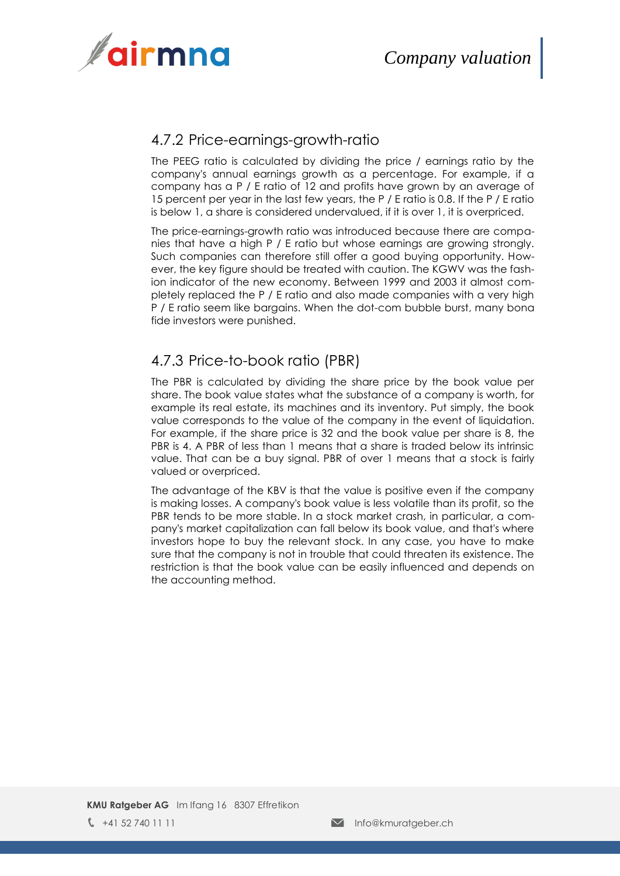

#### 4.7.2 Price-earnings-growth-ratio

The PEEG ratio is calculated by dividing the price / earnings ratio by the company's annual earnings growth as a percentage. For example, if a company has a P / E ratio of 12 and profits have grown by an average of 15 percent per year in the last few years, the P / E ratio is 0.8. If the P / E ratio is below 1, a share is considered undervalued, if it is over 1, it is overpriced.

The price-earnings-growth ratio was introduced because there are companies that have a high P / E ratio but whose earnings are growing strongly. Such companies can therefore still offer a good buying opportunity. However, the key figure should be treated with caution. The KGWV was the fashion indicator of the new economy. Between 1999 and 2003 it almost completely replaced the P / E ratio and also made companies with a very high P / E ratio seem like bargains. When the dot-com bubble burst, many bona fide investors were punished.

#### 4.7.3 Price-to-book ratio (PBR)

The PBR is calculated by dividing the share price by the book value per share. The book value states what the substance of a company is worth, for example its real estate, its machines and its inventory. Put simply, the book value corresponds to the value of the company in the event of liquidation. For example, if the share price is 32 and the book value per share is 8, the PBR is 4. A PBR of less than 1 means that a share is traded below its intrinsic value. That can be a buy signal. PBR of over 1 means that a stock is fairly valued or overpriced.

The advantage of the KBV is that the value is positive even if the company is making losses. A company's book value is less volatile than its profit, so the PBR tends to be more stable. In a stock market crash, in particular, a company's market capitalization can fall below its book value, and that's where investors hope to buy the relevant stock. In any case, you have to make sure that the company is not in trouble that could threaten its existence. The restriction is that the book value can be easily influenced and depends on the accounting method.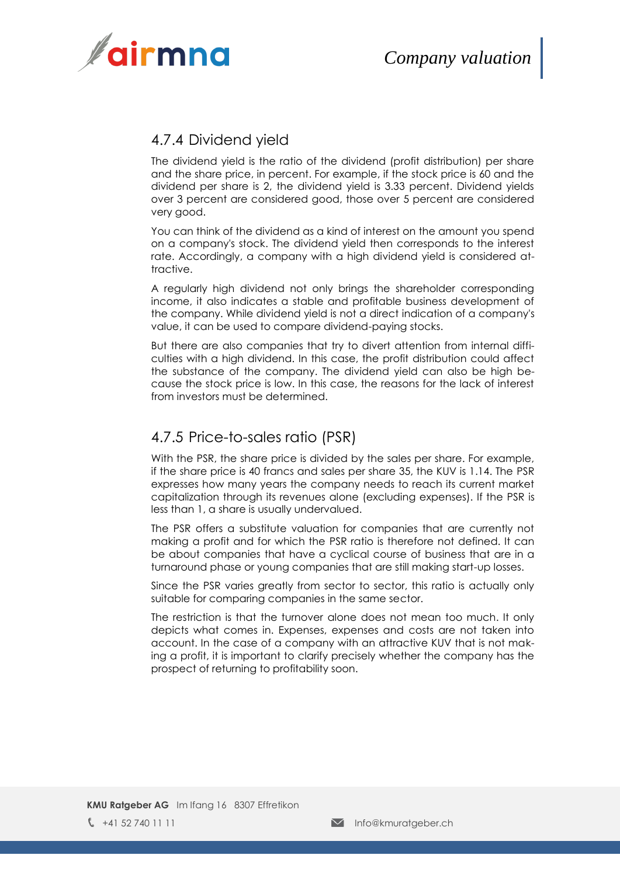

#### 4.7.4 Dividend yield

The dividend yield is the ratio of the dividend (profit distribution) per share and the share price, in percent. For example, if the stock price is 60 and the dividend per share is 2, the dividend yield is 3.33 percent. Dividend yields over 3 percent are considered good, those over 5 percent are considered very good.

You can think of the dividend as a kind of interest on the amount you spend on a company's stock. The dividend yield then corresponds to the interest rate. Accordingly, a company with a high dividend yield is considered attractive.

A regularly high dividend not only brings the shareholder corresponding income, it also indicates a stable and profitable business development of the company. While dividend yield is not a direct indication of a company's value, it can be used to compare dividend-paying stocks.

But there are also companies that try to divert attention from internal difficulties with a high dividend. In this case, the profit distribution could affect the substance of the company. The dividend yield can also be high because the stock price is low. In this case, the reasons for the lack of interest from investors must be determined.

#### 4.7.5 Price-to-sales ratio (PSR)

With the PSR, the share price is divided by the sales per share. For example, if the share price is 40 francs and sales per share 35, the KUV is 1.14. The PSR expresses how many years the company needs to reach its current market capitalization through its revenues alone (excluding expenses). If the PSR is less than 1, a share is usually undervalued.

The PSR offers a substitute valuation for companies that are currently not making a profit and for which the PSR ratio is therefore not defined. It can be about companies that have a cyclical course of business that are in a turnaround phase or young companies that are still making start-up losses.

Since the PSR varies greatly from sector to sector, this ratio is actually only suitable for comparing companies in the same sector.

The restriction is that the turnover alone does not mean too much. It only depicts what comes in. Expenses, expenses and costs are not taken into account. In the case of a company with an attractive KUV that is not making a profit, it is important to clarify precisely whether the company has the prospect of returning to profitability soon.